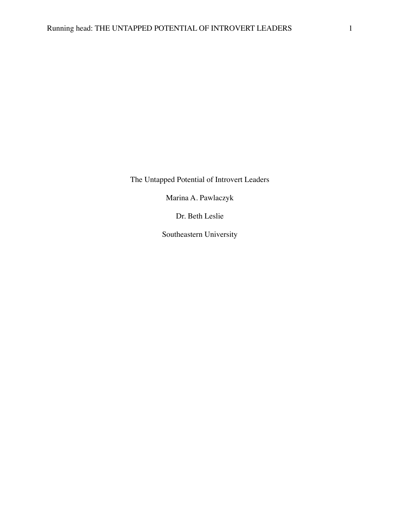The Untapped Potential of Introvert Leaders

Marina A. Pawlaczyk

Dr. Beth Leslie

Southeastern University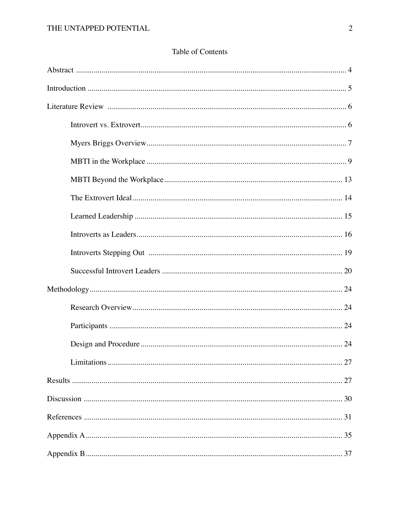# Table of Contents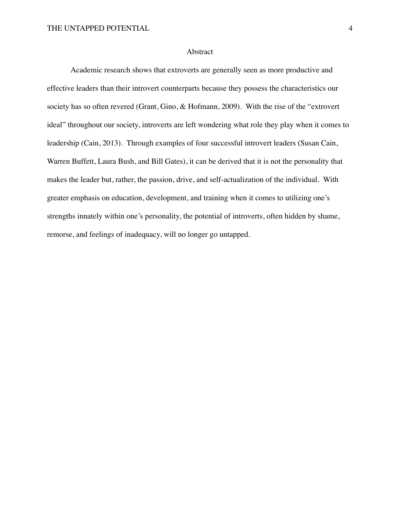#### Abstract

Academic research shows that extroverts are generally seen as more productive and effective leaders than their introvert counterparts because they possess the characteristics our society has so often revered (Grant, Gino, & Hofmann, 2009). With the rise of the "extrovert ideal" throughout our society, introverts are left wondering what role they play when it comes to leadership (Cain, 2013). Through examples of four successful introvert leaders (Susan Cain, Warren Buffett, Laura Bush, and Bill Gates), it can be derived that it is not the personality that makes the leader but, rather, the passion, drive, and self-actualization of the individual. With greater emphasis on education, development, and training when it comes to utilizing one's strengths innately within one's personality, the potential of introverts, often hidden by shame, remorse, and feelings of inadequacy, will no longer go untapped.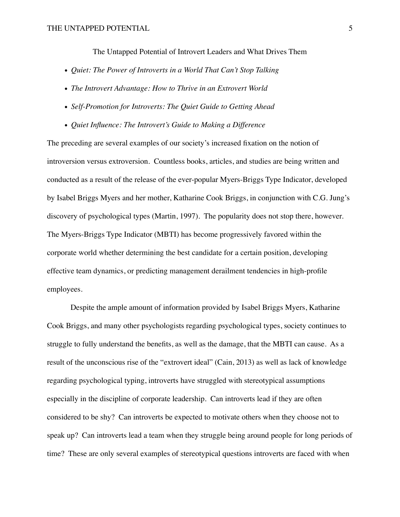The Untapped Potential of Introvert Leaders and What Drives Them

- *• Quiet: The Power of Introverts in a World That Can't Stop Talking*
- *• The Introvert Advantage: How to Thrive in an Extrovert World*
- *• Self-Promotion for Introverts: The Quiet Guide to Getting Ahead*
- *• Quiet Influence: The Introvert's Guide to Making a Difference*

The preceding are several examples of our society's increased fixation on the notion of introversion versus extroversion. Countless books, articles, and studies are being written and conducted as a result of the release of the ever-popular Myers-Briggs Type Indicator, developed by Isabel Briggs Myers and her mother, Katharine Cook Briggs, in conjunction with C.G. Jung's discovery of psychological types (Martin, 1997). The popularity does not stop there, however. The Myers-Briggs Type Indicator (MBTI) has become progressively favored within the corporate world whether determining the best candidate for a certain position, developing effective team dynamics, or predicting management derailment tendencies in high-profile employees.

Despite the ample amount of information provided by Isabel Briggs Myers, Katharine Cook Briggs, and many other psychologists regarding psychological types, society continues to struggle to fully understand the benefits, as well as the damage, that the MBTI can cause. As a result of the unconscious rise of the "extrovert ideal" (Cain, 2013) as well as lack of knowledge regarding psychological typing, introverts have struggled with stereotypical assumptions especially in the discipline of corporate leadership. Can introverts lead if they are often considered to be shy? Can introverts be expected to motivate others when they choose not to speak up? Can introverts lead a team when they struggle being around people for long periods of time? These are only several examples of stereotypical questions introverts are faced with when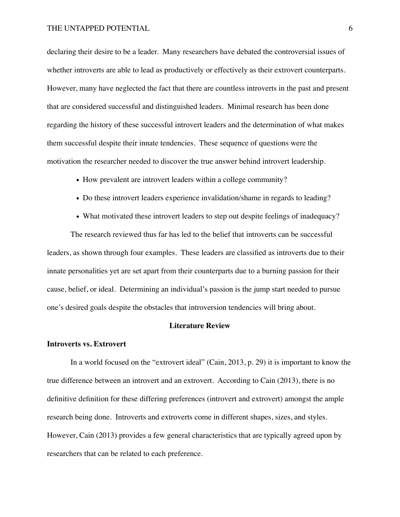declaring their desire to be a leader. Many researchers have debated the controversial issues of whether introverts are able to lead as productively or effectively as their extrovert counterparts. However, many have neglected the fact that there are countless introverts in the past and present that are considered successful and distinguished leaders. Minimal research has been done regarding the history of these successful introvert leaders and the determination of what makes them successful despite their innate tendencies. These sequence of questions were the motivation the researcher needed to discover the true answer behind introvert leadership.

- How prevalent are introvert leaders within a college community?
- Do these introvert leaders experience invalidation/shame in regards to leading?
- What motivated these introvert leaders to step out despite feelings of inadequacy?

The research reviewed thus far has led to the belief that introverts can be successful leaders, as shown through four examples. These leaders are classified as introverts due to their innate personalities yet are set apart from their counterparts due to a burning passion for their cause, belief, or ideal. Determining an individual's passion is the jump start needed to pursue one's desired goals despite the obstacles that introversion tendencies will bring about.

#### **Literature Review**

### **Introverts vs. Extrovert**

In a world focused on the "extrovert ideal" (Cain, 2013, p. 29) it is important to know the true difference between an introvert and an extrovert. According to Cain (2013), there is no definitive definition for these differing preferences (introvert and extrovert) amongst the ample research being done. Introverts and extroverts come in different shapes, sizes, and styles. However, Cain (2013) provides a few general characteristics that are typically agreed upon by researchers that can be related to each preference.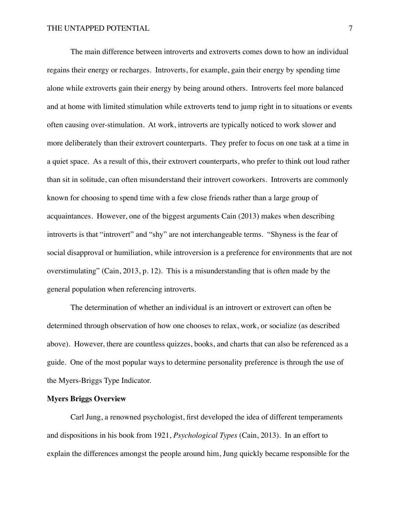The main difference between introverts and extroverts comes down to how an individual regains their energy or recharges. Introverts, for example, gain their energy by spending time alone while extroverts gain their energy by being around others. Introverts feel more balanced and at home with limited stimulation while extroverts tend to jump right in to situations or events often causing over-stimulation. At work, introverts are typically noticed to work slower and more deliberately than their extrovert counterparts. They prefer to focus on one task at a time in a quiet space. As a result of this, their extrovert counterparts, who prefer to think out loud rather than sit in solitude, can often misunderstand their introvert coworkers. Introverts are commonly known for choosing to spend time with a few close friends rather than a large group of acquaintances. However, one of the biggest arguments Cain (2013) makes when describing introverts is that "introvert" and "shy" are not interchangeable terms. "Shyness is the fear of social disapproval or humiliation, while introversion is a preference for environments that are not overstimulating" (Cain, 2013, p. 12). This is a misunderstanding that is often made by the general population when referencing introverts.

The determination of whether an individual is an introvert or extrovert can often be determined through observation of how one chooses to relax, work, or socialize (as described above). However, there are countless quizzes, books, and charts that can also be referenced as a guide. One of the most popular ways to determine personality preference is through the use of the Myers-Briggs Type Indicator.

## **Myers Briggs Overview**

Carl Jung, a renowned psychologist, first developed the idea of different temperaments and dispositions in his book from 1921, *Psychological Types* (Cain, 2013). In an effort to explain the differences amongst the people around him, Jung quickly became responsible for the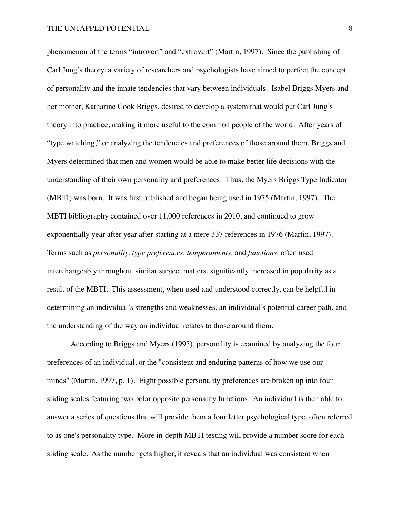phenomenon of the terms "introvert" and "extrovert" (Martin, 1997). Since the publishing of Carl Jung's theory, a variety of researchers and psychologists have aimed to perfect the concept of personality and the innate tendencies that vary between individuals. Isabel Briggs Myers and her mother, Katharine Cook Briggs, desired to develop a system that would put Carl Jung's theory into practice, making it more useful to the common people of the world. After years of "type watching," or analyzing the tendencies and preferences of those around them, Briggs and Myers determined that men and women would be able to make better life decisions with the understanding of their own personality and preferences. Thus, the Myers Briggs Type Indicator (MBTI) was born. It was first published and began being used in 1975 (Martin, 1997). The MBTI bibliography contained over 11,000 references in 2010, and continued to grow exponentially year after year after starting at a mere 337 references in 1976 (Martin, 1997). Terms such as *personality, type preferences, temperaments,* and *functions,* often used interchangeably throughout similar subject matters, significantly increased in popularity as a result of the MBTI. This assessment, when used and understood correctly, can be helpful in determining an individual's strengths and weaknesses, an individual's potential career path, and the understanding of the way an individual relates to those around them.

According to Briggs and Myers (1995), personality is examined by analyzing the four preferences of an individual, or the "consistent and enduring patterns of how we use our minds" (Martin, 1997, p. 1). Eight possible personality preferences are broken up into four sliding scales featuring two polar opposite personality functions. An individual is then able to answer a series of questions that will provide them a four letter psychological type, often referred to as one's personality type. More in-depth MBTI testing will provide a number score for each sliding scale. As the number gets higher, it reveals that an individual was consistent when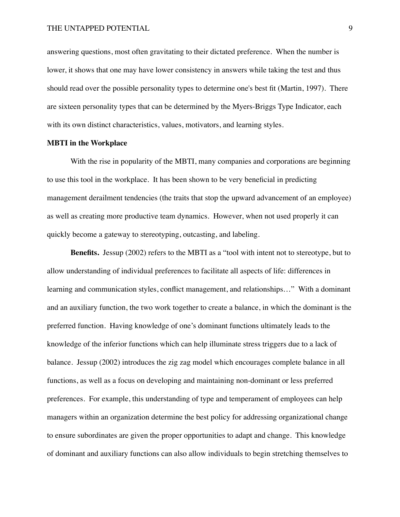THE UNTAPPED POTENTIAL 9

answering questions, most often gravitating to their dictated preference. When the number is lower, it shows that one may have lower consistency in answers while taking the test and thus should read over the possible personality types to determine one's best fit (Martin, 1997). There are sixteen personality types that can be determined by the Myers-Briggs Type Indicator, each with its own distinct characteristics, values, motivators, and learning styles.

#### **MBTI in the Workplace**

With the rise in popularity of the MBTI, many companies and corporations are beginning to use this tool in the workplace. It has been shown to be very beneficial in predicting management derailment tendencies (the traits that stop the upward advancement of an employee) as well as creating more productive team dynamics. However, when not used properly it can quickly become a gateway to stereotyping, outcasting, and labeling.

**Benefits.** Jessup (2002) refers to the MBTI as a "tool with intent not to stereotype, but to allow understanding of individual preferences to facilitate all aspects of life: differences in learning and communication styles, conflict management, and relationships…" With a dominant and an auxiliary function, the two work together to create a balance, in which the dominant is the preferred function. Having knowledge of one's dominant functions ultimately leads to the knowledge of the inferior functions which can help illuminate stress triggers due to a lack of balance. Jessup (2002) introduces the zig zag model which encourages complete balance in all functions, as well as a focus on developing and maintaining non-dominant or less preferred preferences. For example, this understanding of type and temperament of employees can help managers within an organization determine the best policy for addressing organizational change to ensure subordinates are given the proper opportunities to adapt and change. This knowledge of dominant and auxiliary functions can also allow individuals to begin stretching themselves to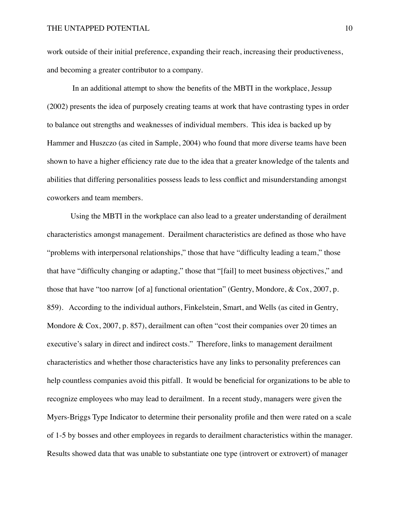work outside of their initial preference, expanding their reach, increasing their productiveness, and becoming a greater contributor to a company.

 In an additional attempt to show the benefits of the MBTI in the workplace, Jessup (2002) presents the idea of purposely creating teams at work that have contrasting types in order to balance out strengths and weaknesses of individual members. This idea is backed up by Hammer and Huszczo (as cited in Sample, 2004) who found that more diverse teams have been shown to have a higher efficiency rate due to the idea that a greater knowledge of the talents and abilities that differing personalities possess leads to less conflict and misunderstanding amongst coworkers and team members.

Using the MBTI in the workplace can also lead to a greater understanding of derailment characteristics amongst management. Derailment characteristics are defined as those who have "problems with interpersonal relationships," those that have "difficulty leading a team," those that have "difficulty changing or adapting," those that "[fail] to meet business objectives," and those that have "too narrow [of a] functional orientation" (Gentry, Mondore, & Cox, 2007, p. 859). According to the individual authors, Finkelstein, Smart, and Wells (as cited in Gentry, Mondore & Cox, 2007, p. 857), derailment can often "cost their companies over 20 times an executive's salary in direct and indirect costs." Therefore, links to management derailment characteristics and whether those characteristics have any links to personality preferences can help countless companies avoid this pitfall. It would be beneficial for organizations to be able to recognize employees who may lead to derailment. In a recent study, managers were given the Myers-Briggs Type Indicator to determine their personality profile and then were rated on a scale of 1-5 by bosses and other employees in regards to derailment characteristics within the manager. Results showed data that was unable to substantiate one type (introvert or extrovert) of manager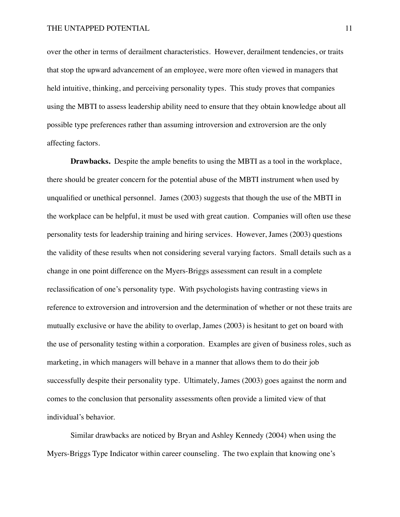over the other in terms of derailment characteristics. However, derailment tendencies, or traits that stop the upward advancement of an employee, were more often viewed in managers that held intuitive, thinking, and perceiving personality types. This study proves that companies using the MBTI to assess leadership ability need to ensure that they obtain knowledge about all possible type preferences rather than assuming introversion and extroversion are the only affecting factors.

**Drawbacks.** Despite the ample benefits to using the MBTI as a tool in the workplace, there should be greater concern for the potential abuse of the MBTI instrument when used by unqualified or unethical personnel. James (2003) suggests that though the use of the MBTI in the workplace can be helpful, it must be used with great caution. Companies will often use these personality tests for leadership training and hiring services. However, James (2003) questions the validity of these results when not considering several varying factors. Small details such as a change in one point difference on the Myers-Briggs assessment can result in a complete reclassification of one's personality type. With psychologists having contrasting views in reference to extroversion and introversion and the determination of whether or not these traits are mutually exclusive or have the ability to overlap, James (2003) is hesitant to get on board with the use of personality testing within a corporation. Examples are given of business roles, such as marketing, in which managers will behave in a manner that allows them to do their job successfully despite their personality type. Ultimately, James (2003) goes against the norm and comes to the conclusion that personality assessments often provide a limited view of that individual's behavior.

Similar drawbacks are noticed by Bryan and Ashley Kennedy (2004) when using the Myers-Briggs Type Indicator within career counseling. The two explain that knowing one's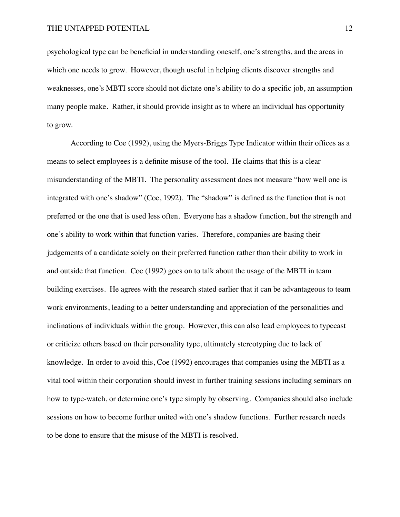psychological type can be beneficial in understanding oneself, one's strengths, and the areas in which one needs to grow. However, though useful in helping clients discover strengths and weaknesses, one's MBTI score should not dictate one's ability to do a specific job, an assumption many people make. Rather, it should provide insight as to where an individual has opportunity to grow.

According to Coe (1992), using the Myers-Briggs Type Indicator within their offices as a means to select employees is a definite misuse of the tool. He claims that this is a clear misunderstanding of the MBTI. The personality assessment does not measure "how well one is integrated with one's shadow" (Coe, 1992). The "shadow" is defined as the function that is not preferred or the one that is used less often. Everyone has a shadow function, but the strength and one's ability to work within that function varies. Therefore, companies are basing their judgements of a candidate solely on their preferred function rather than their ability to work in and outside that function. Coe (1992) goes on to talk about the usage of the MBTI in team building exercises. He agrees with the research stated earlier that it can be advantageous to team work environments, leading to a better understanding and appreciation of the personalities and inclinations of individuals within the group. However, this can also lead employees to typecast or criticize others based on their personality type, ultimately stereotyping due to lack of knowledge. In order to avoid this, Coe (1992) encourages that companies using the MBTI as a vital tool within their corporation should invest in further training sessions including seminars on how to type-watch, or determine one's type simply by observing. Companies should also include sessions on how to become further united with one's shadow functions. Further research needs to be done to ensure that the misuse of the MBTI is resolved.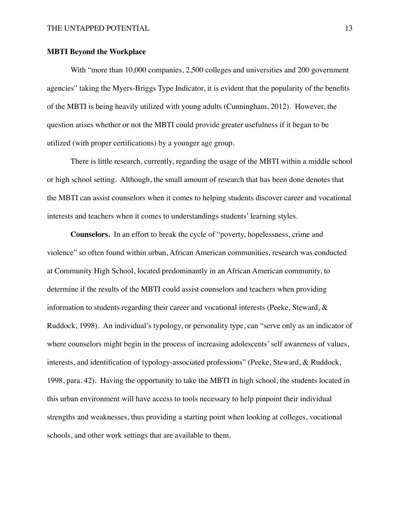### **MBTI Beyond the Workplace**

With "more than 10,000 companies, 2,500 colleges and universities and 200 government agencies" taking the Myers-Briggs Type Indicator, it is evident that the popularity of the benefits of the MBTI is being heavily utilized with young adults (Cunningham, 2012). However, the question arises whether or not the MBTI could provide greater usefulness if it began to be utilized (with proper certifications) by a younger age group.

There is little research, currently, regarding the usage of the MBTI within a middle school or high school setting. Although, the small amount of research that has been done denotes that the MBTI can assist counselors when it comes to helping students discover career and vocational interests and teachers when it comes to understandings students' learning styles.

**Counselors.** In an effort to break the cycle of "poverty, hopelessness, crime and violence" so often found within urban, African American communities, research was conducted at Community High School, located predominantly in an African American community, to determine if the results of the MBTI could assist counselors and teachers when providing information to students regarding their career and vocational interests (Peeke, Steward, & Ruddock, 1998). An individual's typology, or personality type, can "serve only as an indicator of where counselors might begin in the process of increasing adolescents' self awareness of values, interests, and identification of typology-associated professions" (Peeke, Steward, & Ruddock, 1998, para. 42). Having the opportunity to take the MBTI in high school, the students located in this urban environment will have access to tools necessary to help pinpoint their individual strengths and weaknesses, thus providing a starting point when looking at colleges, vocational schools, and other work settings that are available to them.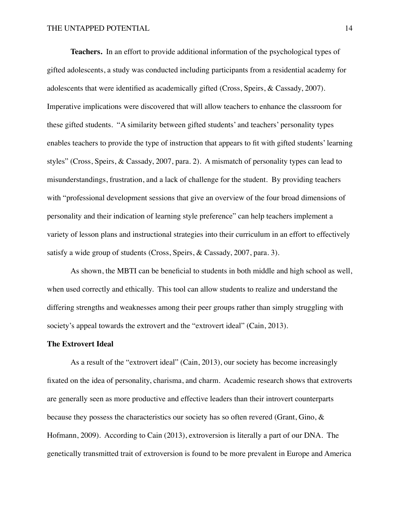**Teachers.** In an effort to provide additional information of the psychological types of gifted adolescents, a study was conducted including participants from a residential academy for adolescents that were identified as academically gifted (Cross, Speirs, & Cassady, 2007). Imperative implications were discovered that will allow teachers to enhance the classroom for these gifted students. "A similarity between gifted students' and teachers' personality types enables teachers to provide the type of instruction that appears to fit with gifted students' learning styles" (Cross, Speirs, & Cassady, 2007, para. 2). A mismatch of personality types can lead to misunderstandings, frustration, and a lack of challenge for the student. By providing teachers with "professional development sessions that give an overview of the four broad dimensions of personality and their indication of learning style preference" can help teachers implement a variety of lesson plans and instructional strategies into their curriculum in an effort to effectively satisfy a wide group of students (Cross, Speirs, & Cassady, 2007, para. 3).

As shown, the MBTI can be beneficial to students in both middle and high school as well, when used correctly and ethically. This tool can allow students to realize and understand the differing strengths and weaknesses among their peer groups rather than simply struggling with society's appeal towards the extrovert and the "extrovert ideal" (Cain, 2013).

### **The Extrovert Ideal**

As a result of the "extrovert ideal" (Cain, 2013), our society has become increasingly fixated on the idea of personality, charisma, and charm. Academic research shows that extroverts are generally seen as more productive and effective leaders than their introvert counterparts because they possess the characteristics our society has so often revered (Grant, Gino, & Hofmann, 2009). According to Cain (2013), extroversion is literally a part of our DNA. The genetically transmitted trait of extroversion is found to be more prevalent in Europe and America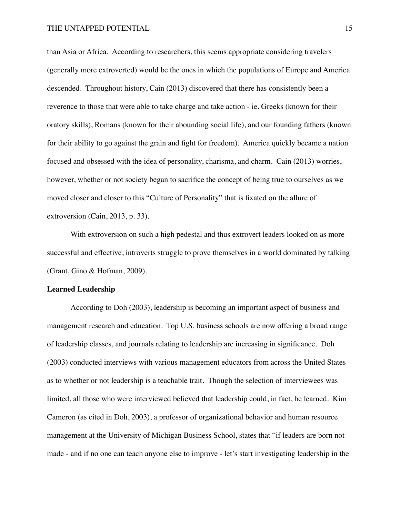than Asia or Africa. According to researchers, this seems appropriate considering travelers (generally more extroverted) would be the ones in which the populations of Europe and America descended. Throughout history, Cain (2013) discovered that there has consistently been a reverence to those that were able to take charge and take action - ie. Greeks (known for their oratory skills), Romans (known for their abounding social life), and our founding fathers (known for their ability to go against the grain and fight for freedom). America quickly became a nation focused and obsessed with the idea of personality, charisma, and charm. Cain (2013) worries, however, whether or not society began to sacrifice the concept of being true to ourselves as we moved closer and closer to this "Culture of Personality" that is fixated on the allure of extroversion (Cain, 2013, p. 33).

With extroversion on such a high pedestal and thus extrovert leaders looked on as more successful and effective, introverts struggle to prove themselves in a world dominated by talking (Grant, Gino & Hofman, 2009).

#### **Learned Leadership**

According to Doh (2003), leadership is becoming an important aspect of business and management research and education. Top U.S. business schools are now offering a broad range of leadership classes, and journals relating to leadership are increasing in significance. Doh (2003) conducted interviews with various management educators from across the United States as to whether or not leadership is a teachable trait. Though the selection of interviewees was limited, all those who were interviewed believed that leadership could, in fact, be learned. Kim Cameron (as cited in Doh, 2003), a professor of organizational behavior and human resource management at the University of Michigan Business School, states that "if leaders are born not made - and if no one can teach anyone else to improve - let's start investigating leadership in the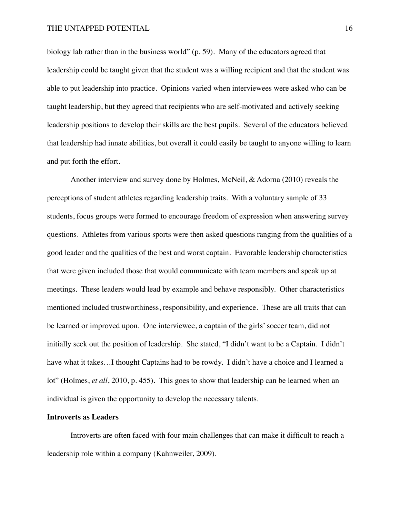biology lab rather than in the business world" (p. 59). Many of the educators agreed that leadership could be taught given that the student was a willing recipient and that the student was able to put leadership into practice. Opinions varied when interviewees were asked who can be taught leadership, but they agreed that recipients who are self-motivated and actively seeking leadership positions to develop their skills are the best pupils. Several of the educators believed that leadership had innate abilities, but overall it could easily be taught to anyone willing to learn and put forth the effort.

Another interview and survey done by Holmes, McNeil, & Adorna (2010) reveals the perceptions of student athletes regarding leadership traits. With a voluntary sample of 33 students, focus groups were formed to encourage freedom of expression when answering survey questions. Athletes from various sports were then asked questions ranging from the qualities of a good leader and the qualities of the best and worst captain. Favorable leadership characteristics that were given included those that would communicate with team members and speak up at meetings. These leaders would lead by example and behave responsibly. Other characteristics mentioned included trustworthiness, responsibility, and experience. These are all traits that can be learned or improved upon. One interviewee, a captain of the girls' soccer team, did not initially seek out the position of leadership. She stated, "I didn't want to be a Captain. I didn't have what it takes...I thought Captains had to be rowdy. I didn't have a choice and I learned a lot" (Holmes, *et all*, 2010, p. 455). This goes to show that leadership can be learned when an individual is given the opportunity to develop the necessary talents.

### **Introverts as Leaders**

Introverts are often faced with four main challenges that can make it difficult to reach a leadership role within a company (Kahnweiler, 2009).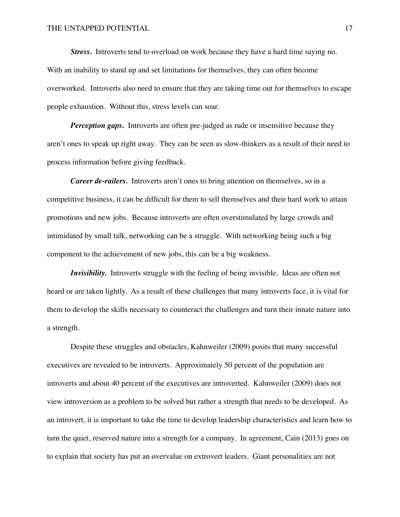*Stress***.** Introverts tend to overload on work because they have a hard time saying no. With an inability to stand up and set limitations for themselves, they can often become overworked. Introverts also need to ensure that they are taking time out for themselves to escape people exhaustion. Without this, stress levels can soar.

*Perception gaps.* Introverts are often pre-judged as rude or insensitive because they aren't ones to speak up right away. They can be seen as slow-thinkers as a result of their need to process information before giving feedback.

*Career de-railers.* Introverts aren't ones to bring attention on themselves, so in a competitive business, it can be difficult for them to sell themselves and their hard work to attain promotions and new jobs. Because introverts are often overstimulated by large crowds and intimidated by small talk, networking can be a struggle. With networking being such a big component to the achievement of new jobs, this can be a big weakness.

*Invisibility*. Introverts struggle with the feeling of being invisible. Ideas are often not heard or are taken lightly. As a result of these challenges that many introverts face, it is vital for them to develop the skills necessary to counteract the challenges and turn their innate nature into a strength.

Despite these struggles and obstacles, Kahnweiler (2009) posits that many successful executives are revealed to be introverts. Approximately 50 percent of the population are introverts and about 40 percent of the executives are introverted. Kahnweiler (2009) does not view introversion as a problem to be solved but rather a strength that needs to be developed. As an introvert, it is important to take the time to develop leadership characteristics and learn how to turn the quiet, reserved nature into a strength for a company. In agreement, Cain (2013) goes on to explain that society has put an overvalue on extrovert leaders. Giant personalities are not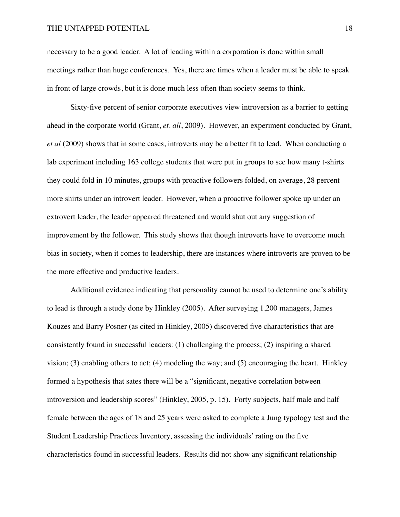### THE UNTAPPED POTENTIAL 18

necessary to be a good leader. A lot of leading within a corporation is done within small meetings rather than huge conferences. Yes, there are times when a leader must be able to speak in front of large crowds, but it is done much less often than society seems to think.

Sixty-five percent of senior corporate executives view introversion as a barrier to getting ahead in the corporate world (Grant, *et. all*, 2009). However, an experiment conducted by Grant, *et al* (2009) shows that in some cases, introverts may be a better fit to lead. When conducting a lab experiment including 163 college students that were put in groups to see how many t-shirts they could fold in 10 minutes, groups with proactive followers folded, on average, 28 percent more shirts under an introvert leader. However, when a proactive follower spoke up under an extrovert leader, the leader appeared threatened and would shut out any suggestion of improvement by the follower. This study shows that though introverts have to overcome much bias in society, when it comes to leadership, there are instances where introverts are proven to be the more effective and productive leaders.

Additional evidence indicating that personality cannot be used to determine one's ability to lead is through a study done by Hinkley (2005). After surveying 1,200 managers, James Kouzes and Barry Posner (as cited in Hinkley, 2005) discovered five characteristics that are consistently found in successful leaders: (1) challenging the process; (2) inspiring a shared vision; (3) enabling others to act; (4) modeling the way; and (5) encouraging the heart. Hinkley formed a hypothesis that sates there will be a "significant, negative correlation between introversion and leadership scores" (Hinkley, 2005, p. 15). Forty subjects, half male and half female between the ages of 18 and 25 years were asked to complete a Jung typology test and the Student Leadership Practices Inventory, assessing the individuals' rating on the five characteristics found in successful leaders. Results did not show any significant relationship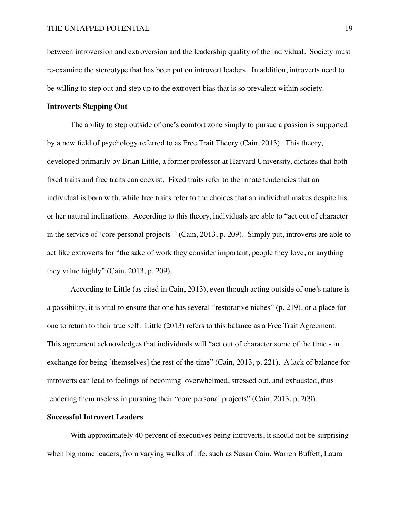between introversion and extroversion and the leadership quality of the individual. Society must re-examine the stereotype that has been put on introvert leaders. In addition, introverts need to be willing to step out and step up to the extrovert bias that is so prevalent within society.

### **Introverts Stepping Out**

The ability to step outside of one's comfort zone simply to pursue a passion is supported by a new field of psychology referred to as Free Trait Theory (Cain, 2013). This theory, developed primarily by Brian Little, a former professor at Harvard University, dictates that both fixed traits and free traits can coexist. Fixed traits refer to the innate tendencies that an individual is born with, while free traits refer to the choices that an individual makes despite his or her natural inclinations. According to this theory, individuals are able to "act out of character in the service of 'core personal projects'" (Cain, 2013, p. 209). Simply put, introverts are able to act like extroverts for "the sake of work they consider important, people they love, or anything they value highly" (Cain, 2013, p. 209).

According to Little (as cited in Cain, 2013), even though acting outside of one's nature is a possibility, it is vital to ensure that one has several "restorative niches" (p. 219), or a place for one to return to their true self. Little (2013) refers to this balance as a Free Trait Agreement. This agreement acknowledges that individuals will "act out of character some of the time - in exchange for being [themselves] the rest of the time" (Cain, 2013, p. 221). A lack of balance for introverts can lead to feelings of becoming overwhelmed, stressed out, and exhausted, thus rendering them useless in pursuing their "core personal projects" (Cain, 2013, p. 209).

### **Successful Introvert Leaders**

With approximately 40 percent of executives being introverts, it should not be surprising when big name leaders, from varying walks of life, such as Susan Cain, Warren Buffett, Laura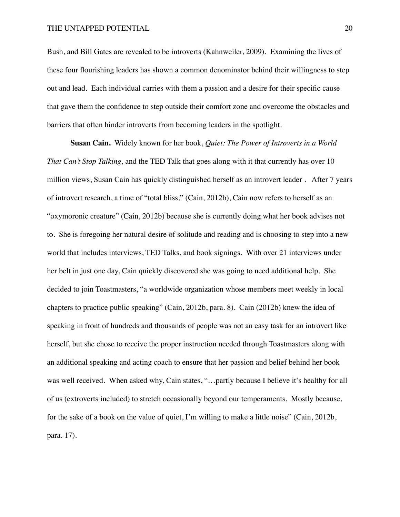Bush, and Bill Gates are revealed to be introverts (Kahnweiler, 2009). Examining the lives of these four flourishing leaders has shown a common denominator behind their willingness to step out and lead. Each individual carries with them a passion and a desire for their specific cause that gave them the confidence to step outside their comfort zone and overcome the obstacles and barriers that often hinder introverts from becoming leaders in the spotlight.

**Susan Cain.** Widely known for her book, *Quiet: The Power of Introverts in a World That Can't Stop Talking, and the TED Talk that goes along with it that currently has over 10* million views, Susan Cain has quickly distinguished herself as an introvert leader . After 7 years of introvert research, a time of "total bliss," (Cain, 2012b), Cain now refers to herself as an "oxymoronic creature" (Cain, 2012b) because she is currently doing what her book advises not to. She is foregoing her natural desire of solitude and reading and is choosing to step into a new world that includes interviews, TED Talks, and book signings. With over 21 interviews under her belt in just one day, Cain quickly discovered she was going to need additional help. She decided to join Toastmasters, "a worldwide organization whose members meet weekly in local chapters to practice public speaking" (Cain, 2012b, para. 8). Cain (2012b) knew the idea of speaking in front of hundreds and thousands of people was not an easy task for an introvert like herself, but she chose to receive the proper instruction needed through Toastmasters along with an additional speaking and acting coach to ensure that her passion and belief behind her book was well received. When asked why, Cain states, "...partly because I believe it's healthy for all of us (extroverts included) to stretch occasionally beyond our temperaments. Mostly because, for the sake of a book on the value of quiet, I'm willing to make a little noise" (Cain, 2012b, para. 17).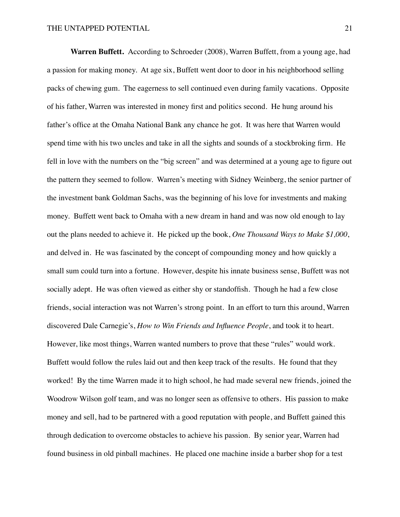**Warren Buffett.** According to Schroeder (2008), Warren Buffett, from a young age, had a passion for making money. At age six, Buffett went door to door in his neighborhood selling packs of chewing gum. The eagerness to sell continued even during family vacations. Opposite of his father, Warren was interested in money first and politics second. He hung around his father's office at the Omaha National Bank any chance he got. It was here that Warren would spend time with his two uncles and take in all the sights and sounds of a stockbroking firm. He fell in love with the numbers on the "big screen" and was determined at a young age to figure out the pattern they seemed to follow. Warren's meeting with Sidney Weinberg, the senior partner of the investment bank Goldman Sachs, was the beginning of his love for investments and making money. Buffett went back to Omaha with a new dream in hand and was now old enough to lay out the plans needed to achieve it. He picked up the book, *One Thousand Ways to Make \$1,000*, and delved in. He was fascinated by the concept of compounding money and how quickly a small sum could turn into a fortune. However, despite his innate business sense, Buffett was not socially adept. He was often viewed as either shy or standoffish. Though he had a few close friends, social interaction was not Warren's strong point. In an effort to turn this around, Warren discovered Dale Carnegie's, *How to Win Friends and Influence People*, and took it to heart. However, like most things, Warren wanted numbers to prove that these "rules" would work. Buffett would follow the rules laid out and then keep track of the results. He found that they worked! By the time Warren made it to high school, he had made several new friends, joined the Woodrow Wilson golf team, and was no longer seen as offensive to others. His passion to make money and sell, had to be partnered with a good reputation with people, and Buffett gained this through dedication to overcome obstacles to achieve his passion. By senior year, Warren had found business in old pinball machines. He placed one machine inside a barber shop for a test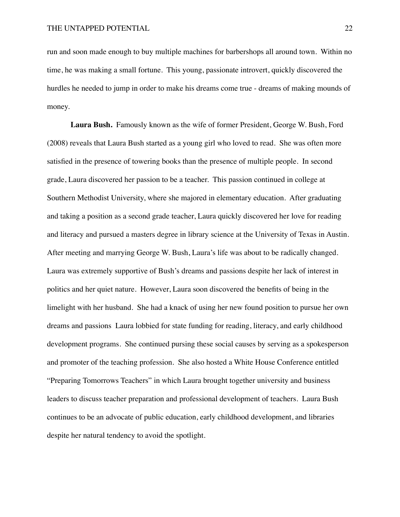run and soon made enough to buy multiple machines for barbershops all around town. Within no time, he was making a small fortune. This young, passionate introvert, quickly discovered the hurdles he needed to jump in order to make his dreams come true - dreams of making mounds of money.

**Laura Bush.** Famously known as the wife of former President, George W. Bush, Ford (2008) reveals that Laura Bush started as a young girl who loved to read. She was often more satisfied in the presence of towering books than the presence of multiple people. In second grade, Laura discovered her passion to be a teacher. This passion continued in college at Southern Methodist University, where she majored in elementary education. After graduating and taking a position as a second grade teacher, Laura quickly discovered her love for reading and literacy and pursued a masters degree in library science at the University of Texas in Austin. After meeting and marrying George W. Bush, Laura's life was about to be radically changed. Laura was extremely supportive of Bush's dreams and passions despite her lack of interest in politics and her quiet nature. However, Laura soon discovered the benefits of being in the limelight with her husband. She had a knack of using her new found position to pursue her own dreams and passions Laura lobbied for state funding for reading, literacy, and early childhood development programs. She continued pursing these social causes by serving as a spokesperson and promoter of the teaching profession. She also hosted a White House Conference entitled "Preparing Tomorrows Teachers" in which Laura brought together university and business leaders to discuss teacher preparation and professional development of teachers. Laura Bush continues to be an advocate of public education, early childhood development, and libraries despite her natural tendency to avoid the spotlight.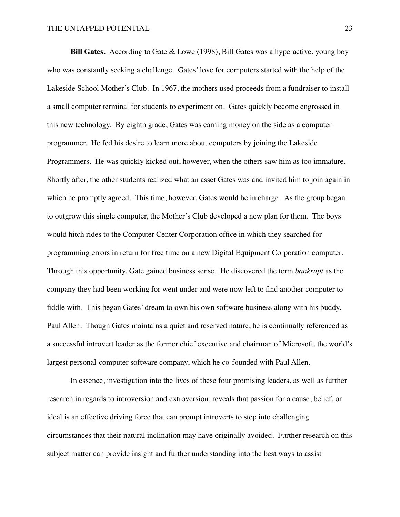**Bill Gates.** According to Gate & Lowe (1998), Bill Gates was a hyperactive, young boy who was constantly seeking a challenge. Gates' love for computers started with the help of the Lakeside School Mother's Club. In 1967, the mothers used proceeds from a fundraiser to install a small computer terminal for students to experiment on. Gates quickly become engrossed in this new technology. By eighth grade, Gates was earning money on the side as a computer programmer. He fed his desire to learn more about computers by joining the Lakeside Programmers. He was quickly kicked out, however, when the others saw him as too immature. Shortly after, the other students realized what an asset Gates was and invited him to join again in which he promptly agreed. This time, however, Gates would be in charge. As the group began to outgrow this single computer, the Mother's Club developed a new plan for them. The boys would hitch rides to the Computer Center Corporation office in which they searched for programming errors in return for free time on a new Digital Equipment Corporation computer. Through this opportunity, Gate gained business sense. He discovered the term *bankrupt* as the company they had been working for went under and were now left to find another computer to fiddle with. This began Gates' dream to own his own software business along with his buddy, Paul Allen. Though Gates maintains a quiet and reserved nature, he is continually referenced as a successful introvert leader as the former chief executive and chairman of Microsoft, the world's largest personal-computer software company, which he co-founded with Paul Allen.

In essence, investigation into the lives of these four promising leaders, as well as further research in regards to introversion and extroversion, reveals that passion for a cause, belief, or ideal is an effective driving force that can prompt introverts to step into challenging circumstances that their natural inclination may have originally avoided. Further research on this subject matter can provide insight and further understanding into the best ways to assist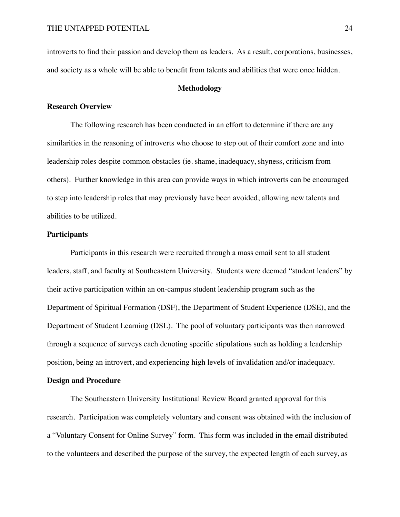introverts to find their passion and develop them as leaders. As a result, corporations, businesses, and society as a whole will be able to benefit from talents and abilities that were once hidden.

### **Methodology**

### **Research Overview**

The following research has been conducted in an effort to determine if there are any similarities in the reasoning of introverts who choose to step out of their comfort zone and into leadership roles despite common obstacles (ie. shame, inadequacy, shyness, criticism from others). Further knowledge in this area can provide ways in which introverts can be encouraged to step into leadership roles that may previously have been avoided, allowing new talents and abilities to be utilized.

## **Participants**

Participants in this research were recruited through a mass email sent to all student leaders, staff, and faculty at Southeastern University. Students were deemed "student leaders" by their active participation within an on-campus student leadership program such as the Department of Spiritual Formation (DSF), the Department of Student Experience (DSE), and the Department of Student Learning (DSL). The pool of voluntary participants was then narrowed through a sequence of surveys each denoting specific stipulations such as holding a leadership position, being an introvert, and experiencing high levels of invalidation and/or inadequacy.

### **Design and Procedure**

The Southeastern University Institutional Review Board granted approval for this research. Participation was completely voluntary and consent was obtained with the inclusion of a "Voluntary Consent for Online Survey" form. This form was included in the email distributed to the volunteers and described the purpose of the survey, the expected length of each survey, as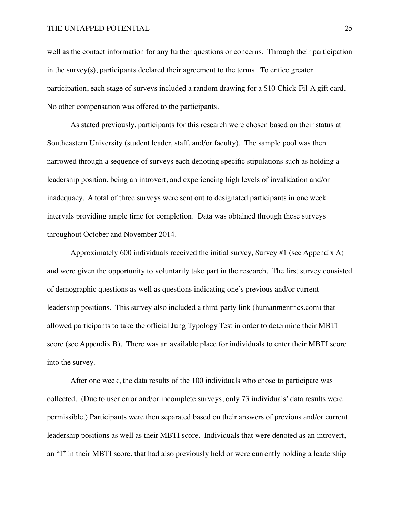well as the contact information for any further questions or concerns. Through their participation in the survey $(s)$ , participants declared their agreement to the terms. To entice greater participation, each stage of surveys included a random drawing for a \$10 Chick-Fil-A gift card. No other compensation was offered to the participants.

As stated previously, participants for this research were chosen based on their status at Southeastern University (student leader, staff, and/or faculty). The sample pool was then narrowed through a sequence of surveys each denoting specific stipulations such as holding a leadership position, being an introvert, and experiencing high levels of invalidation and/or inadequacy. A total of three surveys were sent out to designated participants in one week intervals providing ample time for completion. Data was obtained through these surveys throughout October and November 2014.

Approximately 600 individuals received the initial survey, Survey #1 (see Appendix A) and were given the opportunity to voluntarily take part in the research. The first survey consisted of demographic questions as well as questions indicating one's previous and/or current leadership positions. This survey also included a third-party link ([humanmentrics.com](http://humanmentrics.com)) that allowed participants to take the official Jung Typology Test in order to determine their MBTI score (see Appendix B). There was an available place for individuals to enter their MBTI score into the survey.

After one week, the data results of the 100 individuals who chose to participate was collected. (Due to user error and/or incomplete surveys, only 73 individuals' data results were permissible.) Participants were then separated based on their answers of previous and/or current leadership positions as well as their MBTI score. Individuals that were denoted as an introvert, an "I" in their MBTI score, that had also previously held or were currently holding a leadership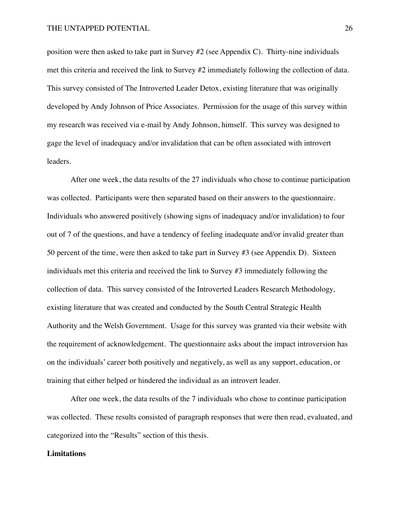position were then asked to take part in Survey #2 (see Appendix C). Thirty-nine individuals met this criteria and received the link to Survey #2 immediately following the collection of data. This survey consisted of The Introverted Leader Detox, existing literature that was originally developed by Andy Johnson of Price Associates. Permission for the usage of this survey within my research was received via e-mail by Andy Johnson, himself. This survey was designed to gage the level of inadequacy and/or invalidation that can be often associated with introvert leaders.

After one week, the data results of the 27 individuals who chose to continue participation was collected. Participants were then separated based on their answers to the questionnaire. Individuals who answered positively (showing signs of inadequacy and/or invalidation) to four out of 7 of the questions, and have a tendency of feeling inadequate and/or invalid greater than 50 percent of the time, were then asked to take part in Survey #3 (see Appendix D). Sixteen individuals met this criteria and received the link to Survey #3 immediately following the collection of data. This survey consisted of the Introverted Leaders Research Methodology, existing literature that was created and conducted by the South Central Strategic Health Authority and the Welsh Government. Usage for this survey was granted via their website with the requirement of acknowledgement. The questionnaire asks about the impact introversion has on the individuals' career both positively and negatively, as well as any support, education, or training that either helped or hindered the individual as an introvert leader.

After one week, the data results of the 7 individuals who chose to continue participation was collected. These results consisted of paragraph responses that were then read, evaluated, and categorized into the "Results" section of this thesis.

### **Limitations**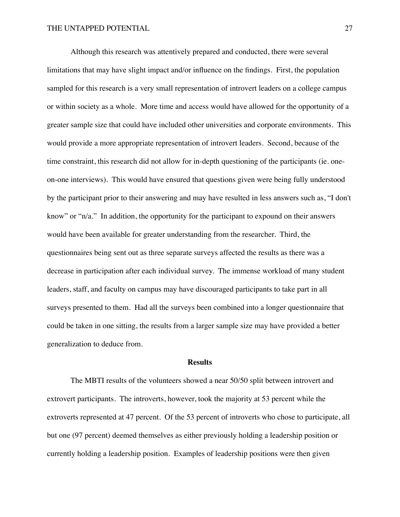Although this research was attentively prepared and conducted, there were several limitations that may have slight impact and/or influence on the findings. First, the population sampled for this research is a very small representation of introvert leaders on a college campus or within society as a whole. More time and access would have allowed for the opportunity of a greater sample size that could have included other universities and corporate environments. This would provide a more appropriate representation of introvert leaders. Second, because of the time constraint, this research did not allow for in-depth questioning of the participants (ie. oneon-one interviews). This would have ensured that questions given were being fully understood by the participant prior to their answering and may have resulted in less answers such as, "I don't know" or "n/a." In addition, the opportunity for the participant to expound on their answers would have been available for greater understanding from the researcher. Third, the questionnaires being sent out as three separate surveys affected the results as there was a decrease in participation after each individual survey. The immense workload of many student leaders, staff, and faculty on campus may have discouraged participants to take part in all surveys presented to them. Had all the surveys been combined into a longer questionnaire that could be taken in one sitting, the results from a larger sample size may have provided a better generalization to deduce from.

### **Results**

The MBTI results of the volunteers showed a near 50/50 split between introvert and extrovert participants. The introverts, however, took the majority at 53 percent while the extroverts represented at 47 percent. Of the 53 percent of introverts who chose to participate, all but one (97 percent) deemed themselves as either previously holding a leadership position or currently holding a leadership position. Examples of leadership positions were then given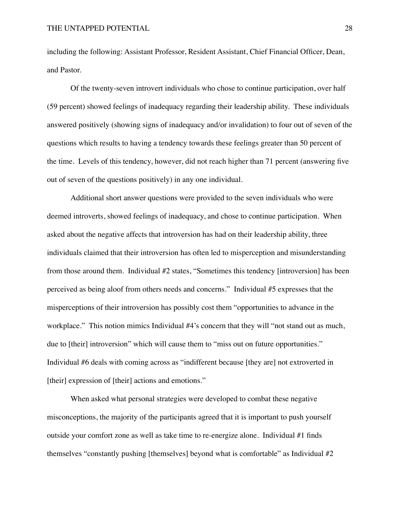including the following: Assistant Professor, Resident Assistant, Chief Financial Officer, Dean, and Pastor.

Of the twenty-seven introvert individuals who chose to continue participation, over half (59 percent) showed feelings of inadequacy regarding their leadership ability. These individuals answered positively (showing signs of inadequacy and/or invalidation) to four out of seven of the questions which results to having a tendency towards these feelings greater than 50 percent of the time. Levels of this tendency, however, did not reach higher than 71 percent (answering five out of seven of the questions positively) in any one individual.

Additional short answer questions were provided to the seven individuals who were deemed introverts, showed feelings of inadequacy, and chose to continue participation. When asked about the negative affects that introversion has had on their leadership ability, three individuals claimed that their introversion has often led to misperception and misunderstanding from those around them. Individual #2 states, "Sometimes this tendency [introversion] has been perceived as being aloof from others needs and concerns." Individual #5 expresses that the misperceptions of their introversion has possibly cost them "opportunities to advance in the workplace." This notion mimics Individual #4's concern that they will "not stand out as much, due to [their] introversion" which will cause them to "miss out on future opportunities." Individual #6 deals with coming across as "indifferent because [they are] not extroverted in [their] expression of [their] actions and emotions."

When asked what personal strategies were developed to combat these negative misconceptions, the majority of the participants agreed that it is important to push yourself outside your comfort zone as well as take time to re-energize alone. Individual #1 finds themselves "constantly pushing [themselves] beyond what is comfortable" as Individual #2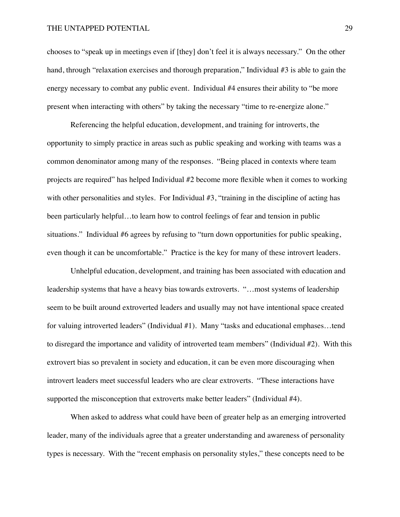### THE UNTAPPED POTENTIAL 29

chooses to "speak up in meetings even if [they] don't feel it is always necessary." On the other hand, through "relaxation exercises and thorough preparation," Individual #3 is able to gain the energy necessary to combat any public event. Individual #4 ensures their ability to "be more present when interacting with others" by taking the necessary "time to re-energize alone."

Referencing the helpful education, development, and training for introverts, the opportunity to simply practice in areas such as public speaking and working with teams was a common denominator among many of the responses. "Being placed in contexts where team projects are required" has helped Individual #2 become more flexible when it comes to working with other personalities and styles. For Individual  $#3$ , "training in the discipline of acting has been particularly helpful…to learn how to control feelings of fear and tension in public situations." Individual #6 agrees by refusing to "turn down opportunities for public speaking, even though it can be uncomfortable." Practice is the key for many of these introvert leaders.

Unhelpful education, development, and training has been associated with education and leadership systems that have a heavy bias towards extroverts. "…most systems of leadership seem to be built around extroverted leaders and usually may not have intentional space created for valuing introverted leaders" (Individual #1). Many "tasks and educational emphases…tend to disregard the importance and validity of introverted team members" (Individual #2). With this extrovert bias so prevalent in society and education, it can be even more discouraging when introvert leaders meet successful leaders who are clear extroverts. "These interactions have supported the misconception that extroverts make better leaders" (Individual #4).

When asked to address what could have been of greater help as an emerging introverted leader, many of the individuals agree that a greater understanding and awareness of personality types is necessary. With the "recent emphasis on personality styles," these concepts need to be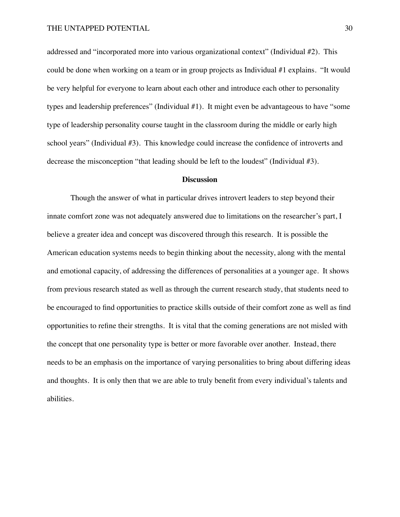addressed and "incorporated more into various organizational context" (Individual #2). This could be done when working on a team or in group projects as Individual #1 explains. "It would be very helpful for everyone to learn about each other and introduce each other to personality types and leadership preferences" (Individual #1). It might even be advantageous to have "some type of leadership personality course taught in the classroom during the middle or early high school years" (Individual #3). This knowledge could increase the confidence of introverts and decrease the misconception "that leading should be left to the loudest" (Individual #3).

#### **Discussion**

Though the answer of what in particular drives introvert leaders to step beyond their innate comfort zone was not adequately answered due to limitations on the researcher's part, I believe a greater idea and concept was discovered through this research. It is possible the American education systems needs to begin thinking about the necessity, along with the mental and emotional capacity, of addressing the differences of personalities at a younger age. It shows from previous research stated as well as through the current research study, that students need to be encouraged to find opportunities to practice skills outside of their comfort zone as well as find opportunities to refine their strengths. It is vital that the coming generations are not misled with the concept that one personality type is better or more favorable over another. Instead, there needs to be an emphasis on the importance of varying personalities to bring about differing ideas and thoughts. It is only then that we are able to truly benefit from every individual's talents and abilities.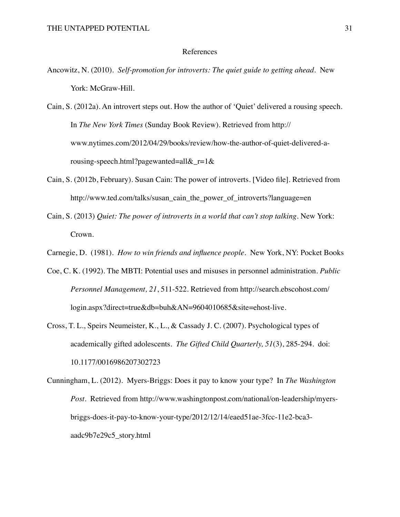#### References

Ancowitz, N. (2010). *Self-promotion for introverts: The quiet guide to getting ahead.* New York: McGraw-Hill.

Cain, S. (2012a). An introvert steps out. How the author of 'Quiet' delivered a rousing speech. In *The New York Times* (Sunday Book Review). Retrieved from http:// www.nytimes.com/2012/04/29/books/review/how-the-author-of-quiet-delivered-arousing-speech.html?pagewanted=all&\_r=1&

- Cain, S. (2012b, February). Susan Cain: The power of introverts. [Video file]. Retrieved from http://www.ted.com/talks/susan\_cain\_the\_power\_of\_introverts?language=en
- Cain, S. (2013) *Quiet: The power of introverts in a world that can't stop talking.* New York: Crown.
- Carnegie, D. (1981). *How to win friends and influence people.* New York, NY: Pocket Books
- Coe, C. K. (1992). The MBTI: Potential uses and misuses in personnel administration. *Public Personnel Management, 21*, 511-522. Retrieved from http://search.ebscohost.com/ login.aspx?direct=true&db=buh&AN=9604010685&site=ehost-live.
- Cross, T. L., Speirs Neumeister, K., L., & Cassady J. C. (2007). Psychological types of academically gifted adolescents. *The Gifted Child Quarterly, 51*(3), 285-294. doi: 10.1177/0016986207302723
- Cunningham, L. (2012). Myers-Briggs: Does it pay to know your type? In *The Washington Post.* Retrieved from http://www.washingtonpost.com/national/on-leadership/myersbriggs-does-it-pay-to-know-your-type/2012/12/14/eaed51ae-3fcc-11e2-bca3 aadc9b7e29c5\_story.html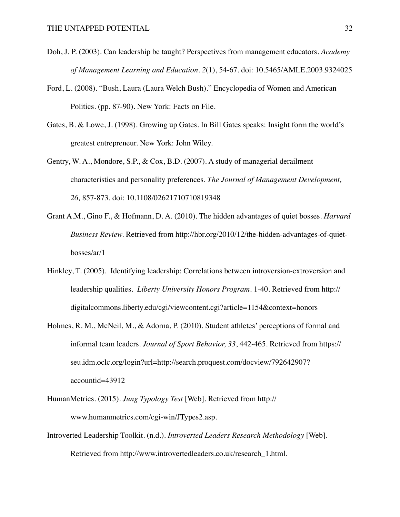- Doh, J. P. (2003). Can leadership be taught? Perspectives from management educators. *Academy of Management Learning and Education. 2*(1), 54-67. doi: 10.5465/AMLE.2003.9324025
- Ford, L. (2008). "Bush, Laura (Laura Welch Bush)." Encyclopedia of Women and American Politics. (pp. 87-90). New York: Facts on File.
- Gates, B. & Lowe, J. (1998). Growing up Gates. In Bill Gates speaks: Insight form the world's greatest entrepreneur. New York: John Wiley.
- Gentry, W. A., Mondore, S.P., & Cox, B.D. (2007). A study of managerial derailment characteristics and personality preferences. *The Journal of Management Development, 26,* 857-873. doi: 10.1108/02621710710819348
- Grant A.M., Gino F., & Hofmann, D. A. (2010). The hidden advantages of quiet bosses. *Harvard Business Review.* Retrieved from http://hbr.org/2010/12/the-hidden-advantages-of-quietbosses/ar/1
- Hinkley, T. (2005). Identifying leadership: Correlations between introversion-extroversion and leadership qualities. *Liberty University Honors Program.* 1-40. Retrieved from http:// digitalcommons.liberty.edu/cgi/viewcontent.cgi?article=1154&context=honors
- Holmes, R. M., McNeil, M., & Adorna, P. (2010). Student athletes' perceptions of formal and informal team leaders. *Journal of Sport Behavior, 33*, 442-465. Retrieved from https:// seu.idm.oclc.org/login?url=http://search.proquest.com/docview/792642907? accountid=43912
- HumanMetrics. (2015). *Jung Typology Test* [Web]. Retrieved from http:// www.humanmetrics.com/cgi-win/JTypes2.asp.
- Introverted Leadership Toolkit. (n.d.). *Introverted Leaders Research Methodology* [Web]. Retrieved from http://www.introvertedleaders.co.uk/research\_1.html.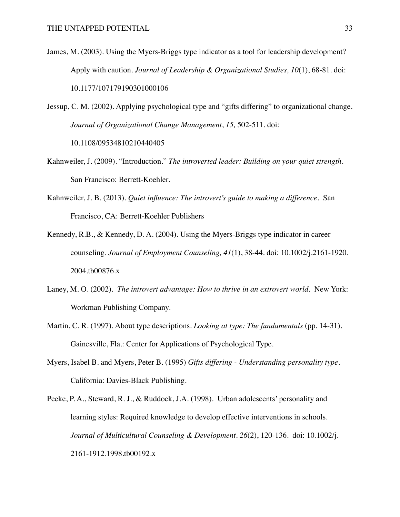James, M. (2003). Using the Myers-Briggs type indicator as a tool for leadership development? Apply with caution. *Journal of Leadership & Organizational Studies, 10*(1), 68-81. doi: 10.1177/107179190301000106

Jessup, C. M. (2002). Applying psychological type and "gifts differing" to organizational change. *Journal of Organizational Change Management*, *15,* 502-511. doi: 10.1108/09534810210440405

- Kahnweiler, J. (2009). "Introduction." *The introverted leader: Building on your quiet strength.* San Francisco: Berrett-Koehler.
- Kahnweiler, J. B. (2013). *Quiet influence: The introvert's guide to making a difference.* San Francisco, CA: Berrett-Koehler Publishers
- Kennedy, R.B., & Kennedy, D. A. (2004). Using the Myers-Briggs type indicator in career counseling. *Journal of Employment Counseling, 41*(1), 38-44. doi: 10.1002/j.2161-1920. 2004.tb00876.x
- Laney, M. O. (2002). *The introvert advantage: How to thrive in an extrovert world.* New York: Workman Publishing Company.
- Martin, C. R. (1997). About type descriptions. *Looking at type: The fundamentals* (pp. 14-31)*.*  Gainesville, Fla.: Center for Applications of Psychological Type.
- Myers, Isabel B. and Myers, Peter B. (1995) *Gifts differing Understanding personality type.*  California: Davies-Black Publishing.
- Peeke, P. A., Steward, R. J., & Ruddock, J.A. (1998). Urban adolescents' personality and learning styles: Required knowledge to develop effective interventions in schools. *Journal of Multicultural Counseling & Development. 26*(2), 120-136. doi: 10.1002/j. 2161-1912.1998.tb00192.x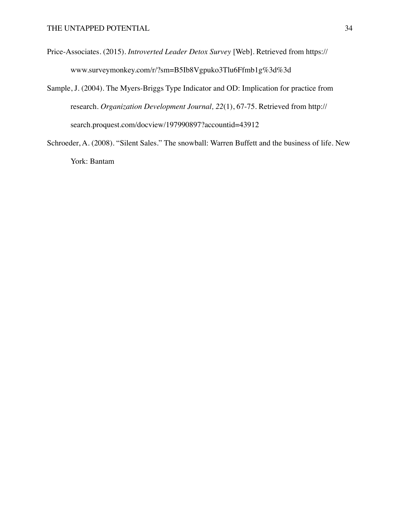- Price-Associates. (2015). *Introverted Leader Detox Survey* [Web]*.* Retrieved from https:// www.surveymonkey.com/r/?sm=B5Ib8Vgpuko3Tlu6Ffmb1g%3d%3d
- Sample, J. (2004). The Myers-Briggs Type Indicator and OD: Implication for practice from research. *Organization Development Journal, 22*(1), 67-75. Retrieved from http:// search.proquest.com/docview/197990897?accountid=43912
- Schroeder, A. (2008). "Silent Sales." The snowball: Warren Buffett and the business of life. New York: Bantam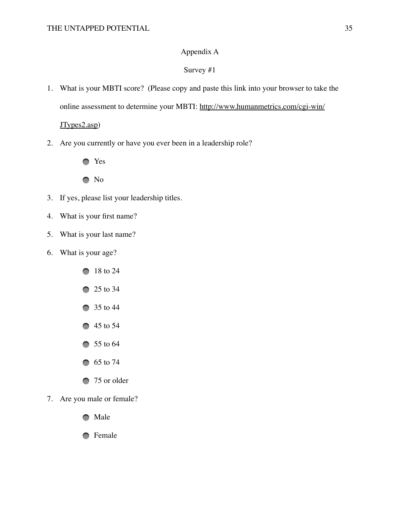# Appendix A

## Survey #1

1. What is your MBTI score? (Please copy and paste this link into your browser to take the [online assessment to determine your MBTI: http://www.humanmetrics.com/cgi-win/](http://www.humanmetrics.com/cgi-win/JTypes2.asp)

JTypes2.asp)

2. Are you currently or have you ever been in a leadership role?



- 3. If yes, please list your leadership titles.
- 4. What is your first name?
- 5. What is your last name?
- 6. What is your age?
	- **18 to 24** ● 25 to 34 ● 35 to 44 ● 45 to 54 ● 55 to 64 ● 65 to 74 ● 75 or older
- 7. Are you male or female?
	- **O** Male

**C** Female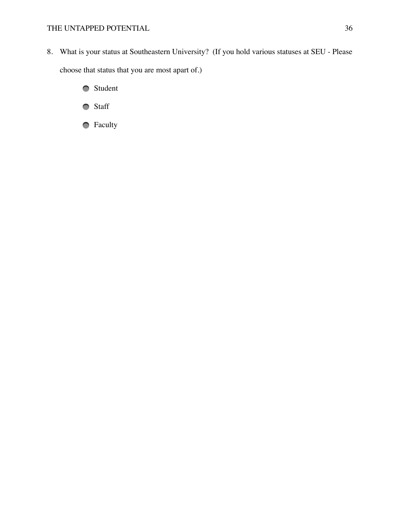- 8. What is your status at Southeastern University? (If you hold various statuses at SEU Please choose that status that you are most apart of.)
	- Student
	- Staff
	- Faculty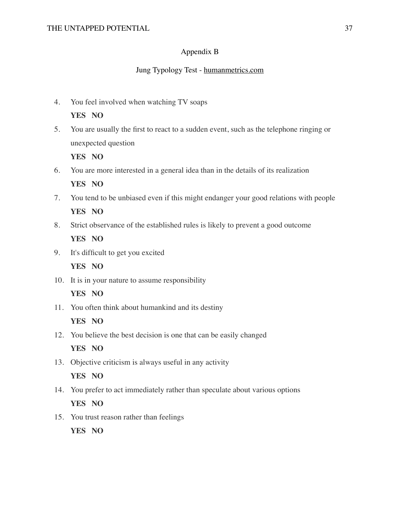# Appendix B

# Jung Typology Test - [humanmetrics.com](http://humanmetrics.com)

4. You feel involved when watching TV soaps

# **YES NO**

 5. You are usually the first to react to a sudden event, such as the telephone ringing or unexpected question

**YES NO**

6. You are more interested in a general idea than in the details of its realization

# **YES NO**

7. You tend to be unbiased even if this might endanger your good relations with people

**YES NO**

8. Strict observance of the established rules is likely to prevent a good outcome

**YES NO**

9. It's difficult to get you excited

**YES NO**

10. It is in your nature to assume responsibility

# **YES NO**

11. You often think about humankind and its destiny

**YES NO**

12. You believe the best decision is one that can be easily changed

**YES NO**

13. Objective criticism is always useful in any activity

**YES NO**

14. You prefer to act immediately rather than speculate about various options

**YES NO**

15. You trust reason rather than feelings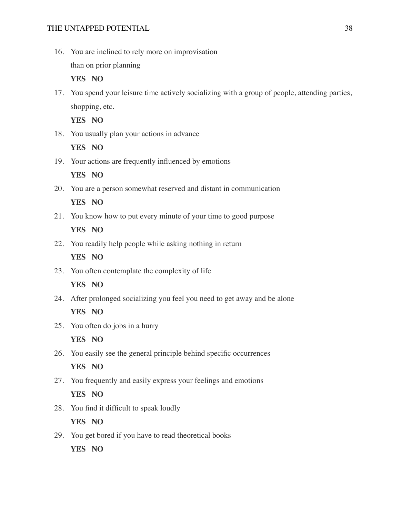16. You are inclined to rely more on improvisation

than on prior planning

**YES NO**

 17. You spend your leisure time actively socializing with a group of people, attending parties, shopping, etc.

**YES NO**

18. You usually plan your actions in advance

**YES NO**

19. Your actions are frequently influenced by emotions

**YES NO**

20. You are a person somewhat reserved and distant in communication

**YES NO**

21. You know how to put every minute of your time to good purpose

**YES NO**

22. You readily help people while asking nothing in return

**YES NO**

23. You often contemplate the complexity of life

**YES NO**

24. After prolonged socializing you feel you need to get away and be alone

**YES NO**

25. You often do jobs in a hurry

**YES NO**

26. You easily see the general principle behind specific occurrences

**YES NO**

27. You frequently and easily express your feelings and emotions

**YES NO**

28. You find it difficult to speak loudly

**YES NO**

29. You get bored if you have to read theoretical books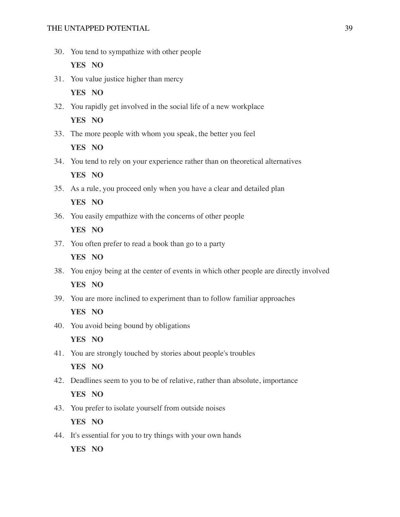## THE UNTAPPED POTENTIAL 39

30. You tend to sympathize with other people

## **YES NO**

31. You value justice higher than mercy

**YES NO**

32. You rapidly get involved in the social life of a new workplace

**YES NO**

33. The more people with whom you speak, the better you feel

**YES NO**

34. You tend to rely on your experience rather than on theoretical alternatives

## **YES NO**

35. As a rule, you proceed only when you have a clear and detailed plan

**YES NO**

36. You easily empathize with the concerns of other people

**YES NO**

37. You often prefer to read a book than go to a party

**YES NO**

38. You enjoy being at the center of events in which other people are directly involved

**YES NO**

39. You are more inclined to experiment than to follow familiar approaches

**YES NO**

40. You avoid being bound by obligations

**YES NO**

41. You are strongly touched by stories about people's troubles

**YES NO**

42. Deadlines seem to you to be of relative, rather than absolute, importance

## **YES NO**

43. You prefer to isolate yourself from outside noises

**YES NO**

44. It's essential for you to try things with your own hands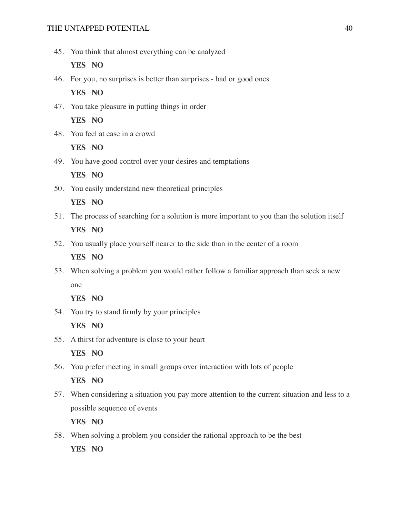## THE UNTAPPED POTENTIAL 40

45. You think that almost everything can be analyzed

## **YES NO**

46. For you, no surprises is better than surprises - bad or good ones

**YES NO**

47. You take pleasure in putting things in order

**YES NO**

48. You feel at ease in a crowd

## **YES NO**

49. You have good control over your desires and temptations

## **YES NO**

50. You easily understand new theoretical principles

## **YES NO**

- 51. The process of searching for a solution is more important to you than the solution itself **YES NO**
- 52. You usually place yourself nearer to the side than in the center of a room

## **YES NO**

 53. When solving a problem you would rather follow a familiar approach than seek a new one

## **YES NO**

54. You try to stand firmly by your principles

## **YES NO**

55. A thirst for adventure is close to your heart

**YES NO**

56. You prefer meeting in small groups over interaction with lots of people

## **YES NO**

 57. When considering a situation you pay more attention to the current situation and less to a possible sequence of events

**YES NO**

58. When solving a problem you consider the rational approach to be the best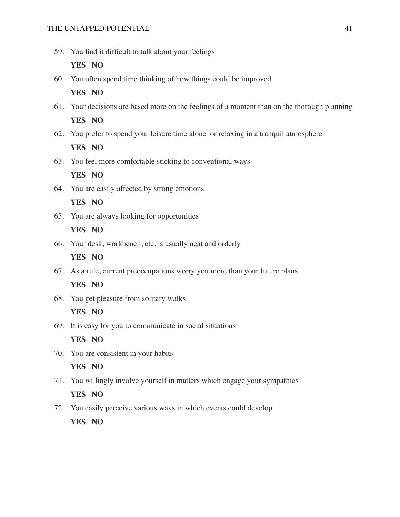59. You find it difficult to talk about your feelings

## **YES NO**

60. You often spend time thinking of how things could be improved

**YES NO**

- 61. Your decisions are based more on the feelings of a moment than on the thorough planning **YES NO**
- 62. You prefer to spend your leisure time alone or relaxing in a tranquil atmosphere

**YES NO**

63. You feel more comfortable sticking to conventional ways

**YES NO**

64. You are easily affected by strong emotions

**YES NO**

65. You are always looking for opportunities

**YES NO**

66. Your desk, workbench, etc. is usually neat and orderly

**YES NO**

67. As a rule, current preoccupations worry you more than your future plans

**YES NO**

68. You get pleasure from solitary walks

**YES NO**

69. It is easy for you to communicate in social situations

**YES NO**

70. You are consistent in your habits

**YES NO**

71. You willingly involve yourself in matters which engage your sympathies

**YES NO**

72. You easily perceive various ways in which events could develop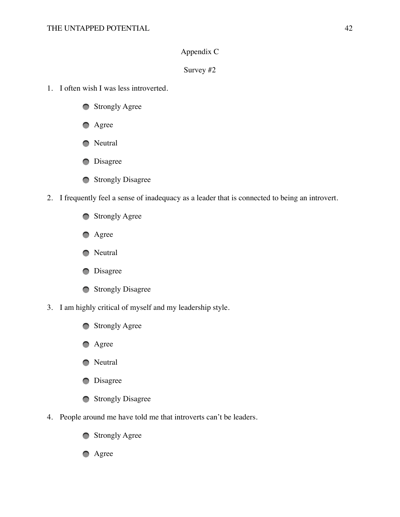# Appendix C

## Survey #2

- 1. I often wish I was less introverted.
	- $\bullet$  Strongly Agree
	- **Agree**
	- **Neutral**
	- **D**isagree
	- Strongly Disagree
- 2. I frequently feel a sense of inadequacy as a leader that is connected to being an introvert.
	- $\bullet$  Strongly Agree
	- **Agree**
	- **Neutral**
	- **D**isagree
	- **Strongly Disagree**
- 3. I am highly critical of myself and my leadership style.
	- $\bullet$  Strongly Agree
	- **Agree**
	- **Neutral**
	- **D**isagree
	- Strongly Disagree
- 4. People around me have told me that introverts can't be leaders.
	- **Strongly Agree**
	- **Agree**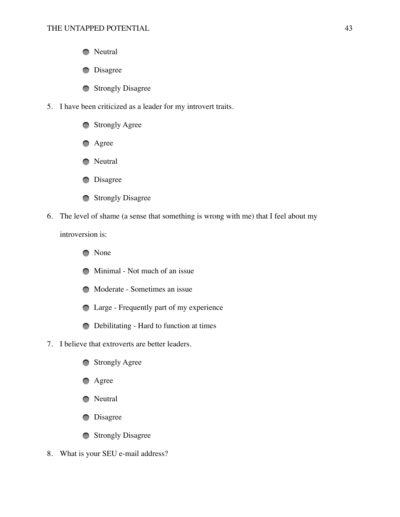- **Neutral**
- **D**isagree
- Strongly Disagree
- 5. I have been criticized as a leader for my introvert traits.
	- **Strongly Agree**
	- **Agree**
	- **Neutral**
	- **D**isagree
	- Strongly Disagree
- 6. The level of shame (a sense that something is wrong with me) that I feel about my introversion is:
	- **O** None
	- Minimal Not much of an issue
	- Moderate Sometimes an issue
	- Large Frequently part of my experience
	- Debilitating Hard to function at times
- 7. I believe that extroverts are better leaders.
	- **Strongly Agree**
	- **Agree**
	- **Neutral**
	- **D**isagree
	- Strongly Disagree
- 8. What is your SEU e-mail address?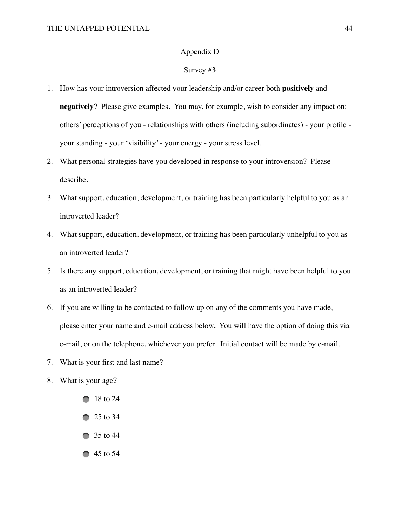### Appendix D

### Survey #3

- 1. How has your introversion affected your leadership and/or career both **positively** and **negatively**? Please give examples. You may, for example, wish to consider any impact on: others' perceptions of you - relationships with others (including subordinates) - your profile your standing - your 'visibility' - your energy - your stress level.
- 2. What personal strategies have you developed in response to your introversion? Please describe.
- 3. What support, education, development, or training has been particularly helpful to you as an introverted leader?
- 4. What support, education, development, or training has been particularly unhelpful to you as an introverted leader?
- 5. Is there any support, education, development, or training that might have been helpful to you as an introverted leader?
- 6. If you are willing to be contacted to follow up on any of the comments you have made, please enter your name and e-mail address below. You will have the option of doing this via e-mail, or on the telephone, whichever you prefer. Initial contact will be made by e-mail.
- 7. What is your first and last name?
- 8. What is your age?
	- **18 to 24**
	- 25 to 34
	- 35 to 44
	- 45 to 54